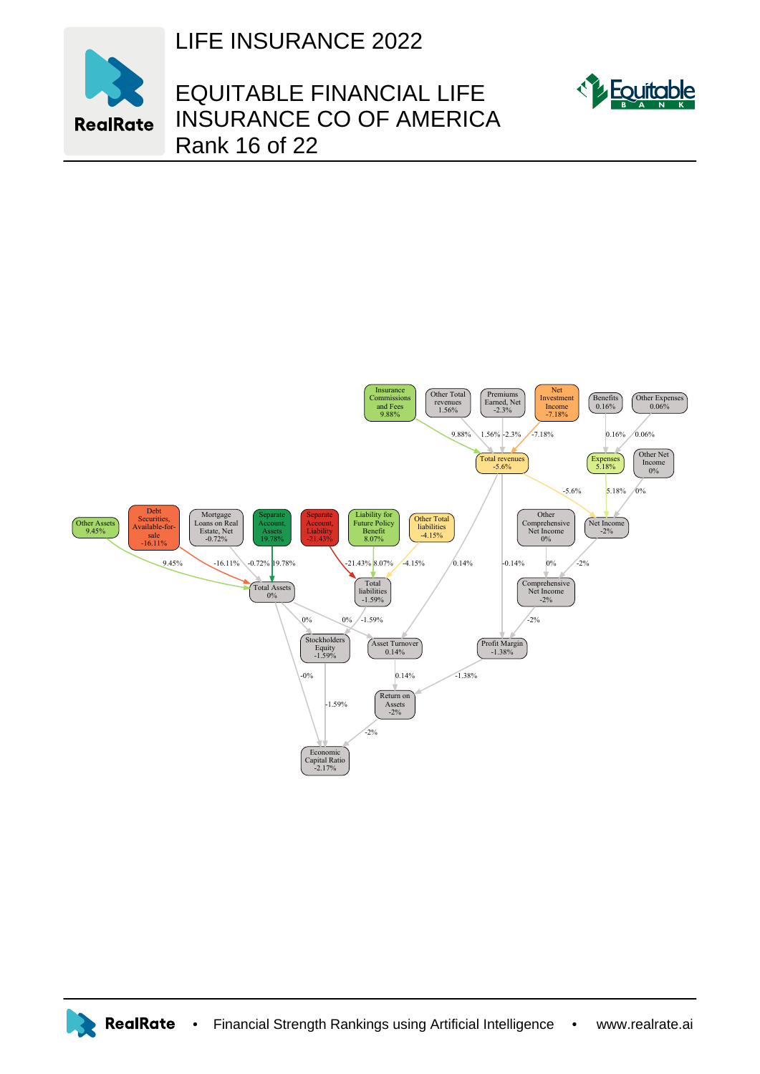

LIFE INSURANCE 2022

## EQUITABLE FINANCIAL LIFE INSURANCE CO OF AMERICA Rank 16 of 22